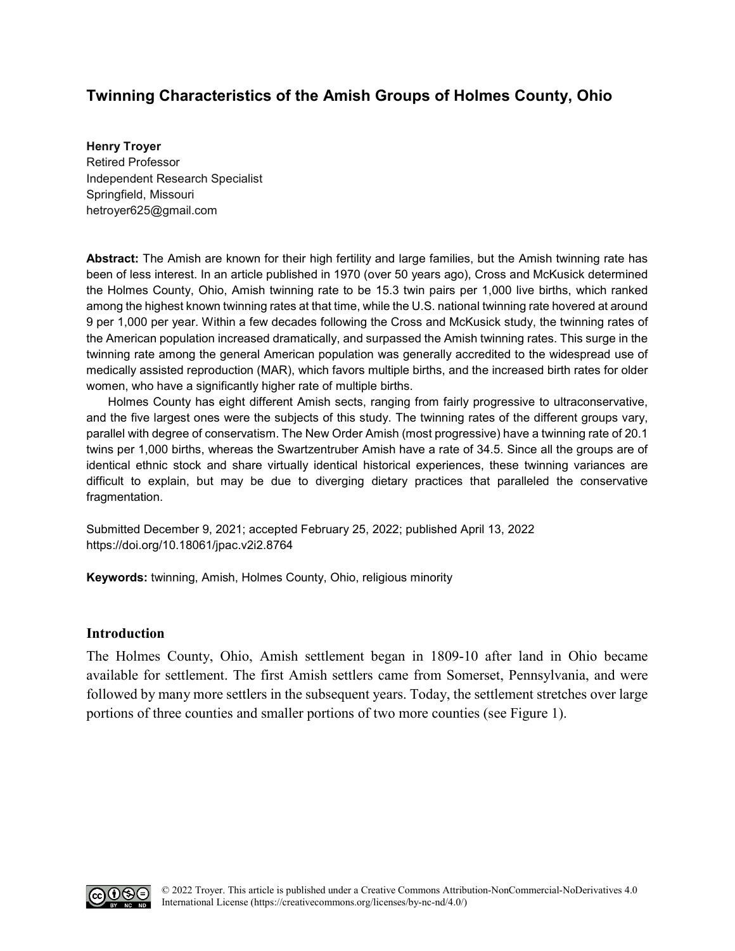# **Twinning Characteristics of the Amish Groups of Holmes County, Ohio**

#### **Henry Troyer**

Retired Professor Independent Research Specialist Springfield, Missouri [hetroyer625@gmail.com](mailto:hetroyer625@gmail.com)

**Abstract:** The Amish are known for their high fertility and large families, but the Amish twinning rate has been of less interest. In an article published in 1970 (over 50 years ago), Cross and McKusick determined the Holmes County, Ohio, Amish twinning rate to be 15.3 twin pairs per 1,000 live births, which ranked among the highest known twinning rates at that time, while the U.S. national twinning rate hovered at around 9 per 1,000 per year. Within a few decades following the Cross and McKusick study, the twinning rates of the American population increased dramatically, and surpassed the Amish twinning rates. This surge in the twinning rate among the general American population was generally accredited to the widespread use of medically assisted reproduction (MAR), which favors multiple births, and the increased birth rates for older women, who have a significantly higher rate of multiple births.

Holmes County has eight different Amish sects, ranging from fairly progressive to ultraconservative, and the five largest ones were the subjects of this study. The twinning rates of the different groups vary, parallel with degree of conservatism. The New Order Amish (most progressive) have a twinning rate of 20.1 twins per 1,000 births, whereas the Swartzentruber Amish have a rate of 34.5. Since all the groups are of identical ethnic stock and share virtually identical historical experiences, these twinning variances are difficult to explain, but may be due to diverging dietary practices that paralleled the conservative fragmentation.

Submitted December 9, 2021; accepted February 25, 2022; published April 13, 2022 <https://doi.org/10.18061/jpac.v2i2.8764>

**Keywords:** twinning, Amish, Holmes County, Ohio, religious minority

# **Introduction**

The Holmes County, Ohio, Amish settlement began in 1809-10 after land in Ohio became available for settlement. The first Amish settlers came from Somerset, Pennsylvania, and were followed by many more settlers in the subsequent years. Today, the settlement stretches over large portions of three counties and smaller portions of two more counties (see Figure 1).

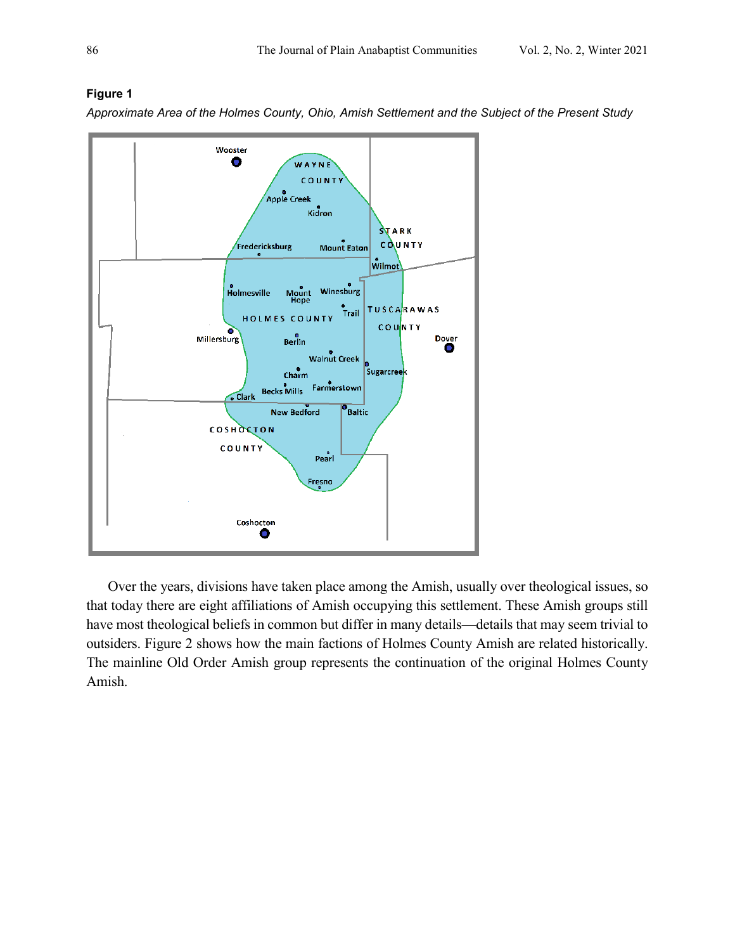

# **Figure 1**

*Approximate Area of the Holmes County, Ohio, Amish Settlement and the Subject of the Present Study*

Over the years, divisions have taken place among the Amish, usually over theological issues, so that today there are eight affiliations of Amish occupying this settlement. These Amish groups still have most theological beliefs in common but differ in many details—details that may seem trivial to outsiders. Figure 2 shows how the main factions of Holmes County Amish are related historically. The mainline Old Order Amish group represents the continuation of the original Holmes County Amish.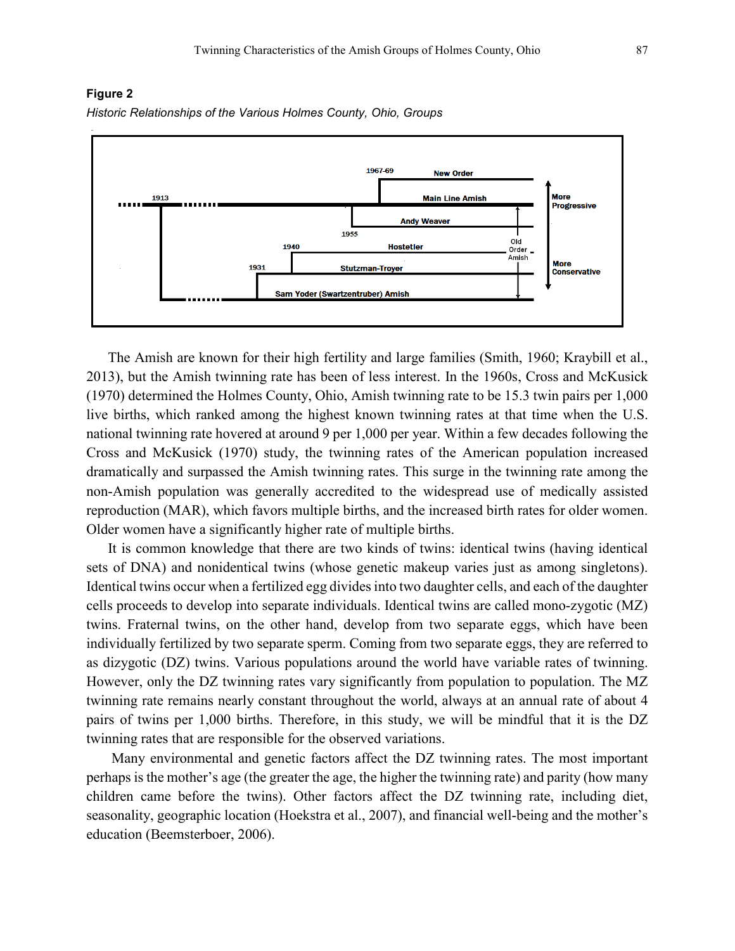#### **Figure 2**





The Amish are known for their high fertility and large families (Smith, 1960; Kraybill et al., 2013), but the Amish twinning rate has been of less interest. In the 1960s, Cross and McKusick (1970) determined the Holmes County, Ohio, Amish twinning rate to be 15.3 twin pairs per 1,000 live births, which ranked among the highest known twinning rates at that time when the U.S. national twinning rate hovered at around 9 per 1,000 per year. Within a few decades following the Cross and McKusick (1970) study, the twinning rates of the American population increased dramatically and surpassed the Amish twinning rates. This surge in the twinning rate among the non-Amish population was generally accredited to the widespread use of medically assisted reproduction (MAR), which favors multiple births, and the increased birth rates for older women. Older women have a significantly higher rate of multiple births.

It is common knowledge that there are two kinds of twins: identical twins (having identical sets of DNA) and nonidentical twins (whose genetic makeup varies just as among singletons). Identical twins occur when a fertilized egg divides into two daughter cells, and each of the daughter cells proceeds to develop into separate individuals. Identical twins are called mono-zygotic (MZ) twins. Fraternal twins, on the other hand, develop from two separate eggs, which have been individually fertilized by two separate sperm. Coming from two separate eggs, they are referred to as dizygotic (DZ) twins. Various populations around the world have variable rates of twinning. However, only the DZ twinning rates vary significantly from population to population. The MZ twinning rate remains nearly constant throughout the world, always at an annual rate of about 4 pairs of twins per 1,000 births. Therefore, in this study, we will be mindful that it is the DZ twinning rates that are responsible for the observed variations.

 Many environmental and genetic factors affect the DZ twinning rates. The most important perhaps is the mother's age (the greater the age, the higher the twinning rate) and parity (how many children came before the twins). Other factors affect the DZ twinning rate, including diet, seasonality, geographic location (Hoekstra et al., 2007), and financial well-being and the mother's education [\(Beemsterboer,](javascript:;) 2006).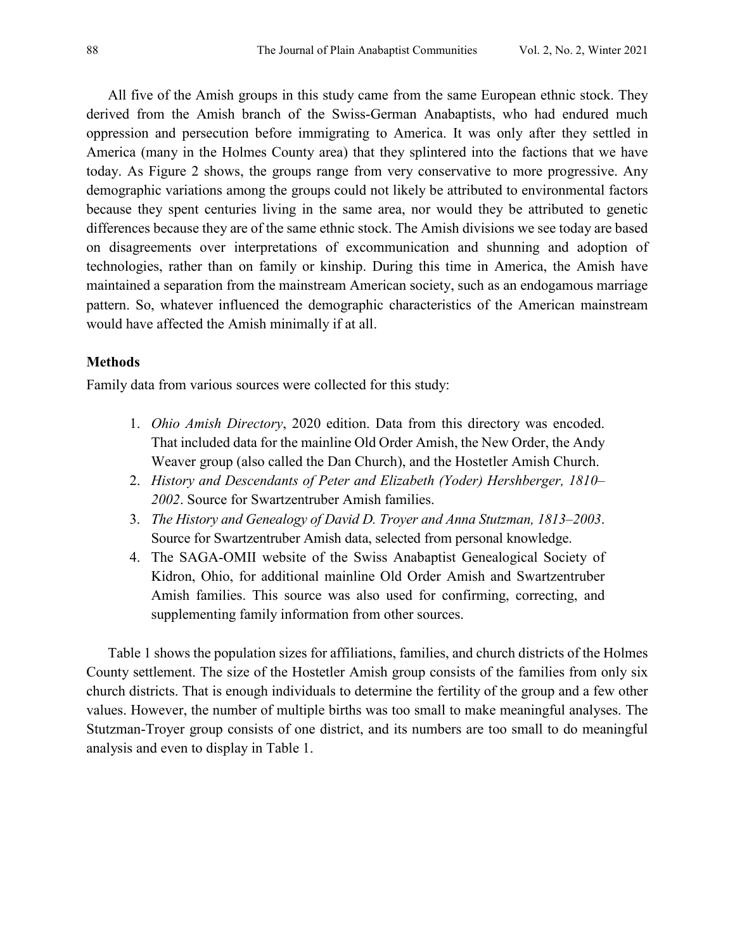All five of the Amish groups in this study came from the same European ethnic stock. They derived from the Amish branch of the Swiss-German Anabaptists, who had endured much oppression and persecution before immigrating to America. It was only after they settled in America (many in the Holmes County area) that they splintered into the factions that we have today. As Figure 2 shows, the groups range from very conservative to more progressive. Any demographic variations among the groups could not likely be attributed to environmental factors because they spent centuries living in the same area, nor would they be attributed to genetic differences because they are of the same ethnic stock. The Amish divisions we see today are based on disagreements over interpretations of excommunication and shunning and adoption of technologies, rather than on family or kinship. During this time in America, the Amish have maintained a separation from the mainstream American society, such as an endogamous marriage pattern. So, whatever influenced the demographic characteristics of the American mainstream would have affected the Amish minimally if at all.

# **Methods**

Family data from various sources were collected for this study:

- 1. *Ohio Amish Directory*, 2020 edition. Data from this directory was encoded. That included data for the mainline Old Order Amish, the New Order, the Andy Weaver group (also called the Dan Church), and the Hostetler Amish Church.
- 2. *History and Descendants of Peter and Elizabeth (Yoder) Hershberger, 1810– 2002*. Source for Swartzentruber Amish families.
- 3. *The History and Genealogy of David D. Troyer and Anna Stutzman, 1813–2003*. Source for Swartzentruber Amish data, selected from personal knowledge.
- 4. The SAGA-OMII website of the Swiss Anabaptist Genealogical Society of Kidron, Ohio, for additional mainline Old Order Amish and Swartzentruber Amish families. This source was also used for confirming, correcting, and supplementing family information from other sources.

Table 1 shows the population sizes for affiliations, families, and church districts of the Holmes County settlement. The size of the Hostetler Amish group consists of the families from only six church districts. That is enough individuals to determine the fertility of the group and a few other values. However, the number of multiple births was too small to make meaningful analyses. The Stutzman-Troyer group consists of one district, and its numbers are too small to do meaningful analysis and even to display in Table 1.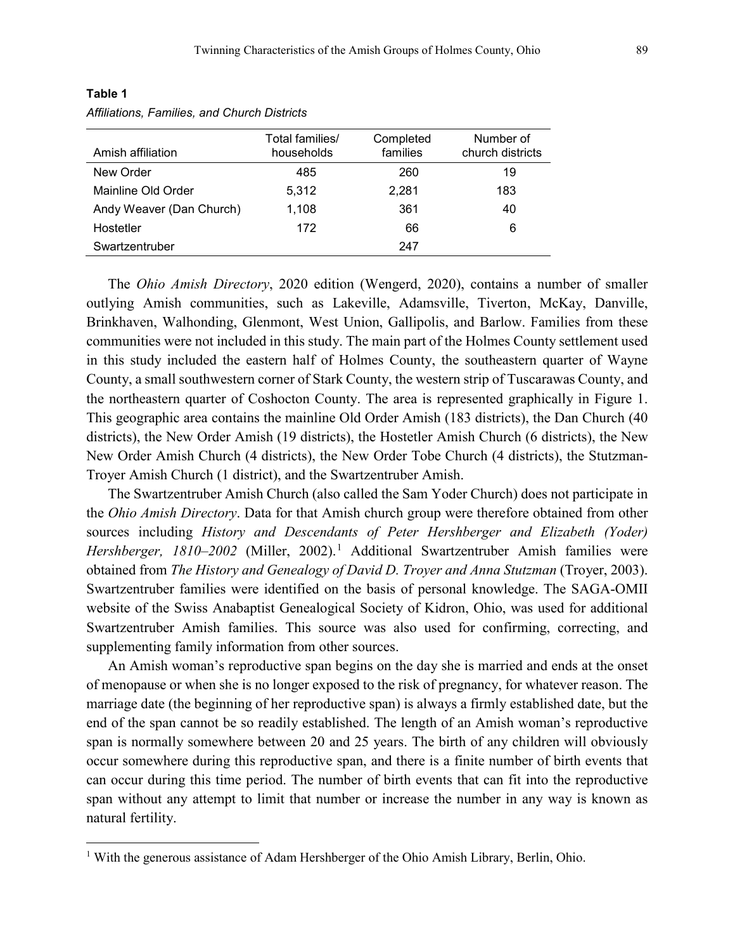| Amish affiliation        | Total families/<br>households | Completed<br>families | Number of<br>church districts |
|--------------------------|-------------------------------|-----------------------|-------------------------------|
| New Order                | 485                           | 260                   | 19                            |
| Mainline Old Order       | 5.312                         | 2,281                 | 183                           |
| Andy Weaver (Dan Church) | 1.108                         | 361                   | 40                            |
| Hostetler                | 172                           | 66                    | 6                             |
| Swartzentruber           |                               | 247                   |                               |

# **Table 1**

l

*Affiliations, Families, and Church Districts*

The *Ohio Amish Directory*, 2020 edition (Wengerd, 2020), contains a number of smaller outlying Amish communities, such as Lakeville, Adamsville, Tiverton, McKay, Danville, Brinkhaven, Walhonding, Glenmont, West Union, Gallipolis, and Barlow. Families from these communities were not included in this study. The main part of the Holmes County settlement used in this study included the eastern half of Holmes County, the southeastern quarter of Wayne County, a small southwestern corner of Stark County, the western strip of Tuscarawas County, and the northeastern quarter of Coshocton County. The area is represented graphically in Figure 1. This geographic area contains the mainline Old Order Amish (183 districts), the Dan Church (40 districts), the New Order Amish (19 districts), the Hostetler Amish Church (6 districts), the New New Order Amish Church (4 districts), the New Order Tobe Church (4 districts), the Stutzman-Troyer Amish Church (1 district), and the Swartzentruber Amish.

The Swartzentruber Amish Church (also called the Sam Yoder Church) does not participate in the *Ohio Amish Directory*. Data for that Amish church group were therefore obtained from other sources including *History and Descendants of Peter Hershberger and Elizabeth (Yoder) Hershberger, [1](#page-4-0)810–2002* (Miller, 2002).<sup>1</sup> Additional Swartzentruber Amish families were obtained from *The History and Genealogy of David D. Troyer and Anna Stutzman* (Troyer, 2003). Swartzentruber families were identified on the basis of personal knowledge. The SAGA-OMII website of the Swiss Anabaptist Genealogical Society of Kidron, Ohio, was used for additional Swartzentruber Amish families. This source was also used for confirming, correcting, and supplementing family information from other sources.

An Amish woman's reproductive span begins on the day she is married and ends at the onset of menopause or when she is no longer exposed to the risk of pregnancy, for whatever reason. The marriage date (the beginning of her reproductive span) is always a firmly established date, but the end of the span cannot be so readily established. The length of an Amish woman's reproductive span is normally somewhere between 20 and 25 years. The birth of any children will obviously occur somewhere during this reproductive span, and there is a finite number of birth events that can occur during this time period. The number of birth events that can fit into the reproductive span without any attempt to limit that number or increase the number in any way is known as natural fertility.

<span id="page-4-0"></span><sup>&</sup>lt;sup>1</sup> With the generous assistance of Adam Hershberger of the Ohio Amish Library, Berlin, Ohio.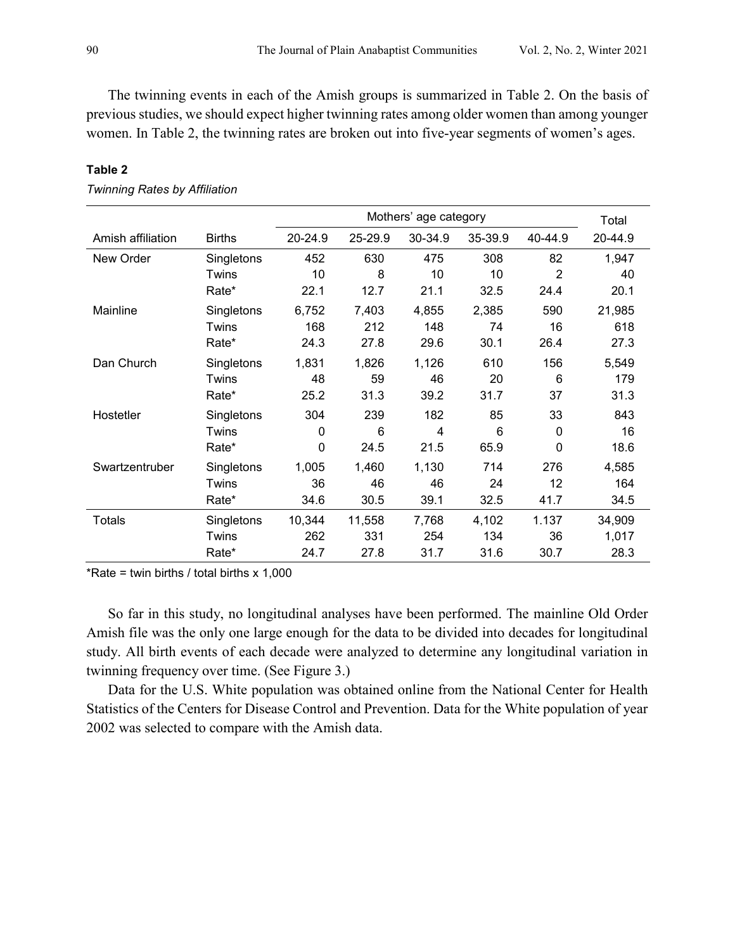The twinning events in each of the Amish groups is summarized in Table 2. On the basis of previous studies, we should expect higher twinning rates among older women than among younger women. In Table 2, the twinning rates are broken out into five-year segments of women's ages.

|                   |               |         | Total   |         |         |                |         |
|-------------------|---------------|---------|---------|---------|---------|----------------|---------|
| Amish affiliation | <b>Births</b> | 20-24.9 | 25-29.9 | 30-34.9 | 35-39.9 | 40-44.9        | 20-44.9 |
| New Order         | Singletons    | 452     | 630     | 475     | 308     | 82             | 1,947   |
|                   | Twins         | 10      | 8       | 10      | 10      | $\overline{2}$ | 40      |
|                   | Rate*         | 22.1    | 12.7    | 21.1    | 32.5    | 24.4           | 20.1    |
| Mainline          | Singletons    | 6,752   | 7,403   | 4,855   | 2,385   | 590            | 21,985  |
|                   | Twins         | 168     | 212     | 148     | 74      | 16             | 618     |
|                   | Rate*         | 24.3    | 27.8    | 29.6    | 30.1    | 26.4           | 27.3    |
| Dan Church        | Singletons    | 1,831   | 1,826   | 1,126   | 610     | 156            | 5,549   |
|                   | Twins         | 48      | 59      | 46      | 20      | 6              | 179     |
|                   | Rate*         | 25.2    | 31.3    | 39.2    | 31.7    | 37             | 31.3    |
| Hostetler         | Singletons    | 304     | 239     | 182     | 85      | 33             | 843     |
|                   | Twins         | 0       | 6       | 4       | 6       | $\Omega$       | 16      |
|                   | Rate*         | 0       | 24.5    | 21.5    | 65.9    | 0              | 18.6    |
| Swartzentruber    | Singletons    | 1,005   | 1,460   | 1,130   | 714     | 276            | 4,585   |
|                   | Twins         | 36      | 46      | 46      | 24      | 12             | 164     |
|                   | Rate*         | 34.6    | 30.5    | 39.1    | 32.5    | 41.7           | 34.5    |
| <b>Totals</b>     | Singletons    | 10,344  | 11,558  | 7,768   | 4,102   | 1.137          | 34,909  |
|                   | Twins         | 262     | 331     | 254     | 134     | 36             | 1,017   |
|                   | Rate*         | 24.7    | 27.8    | 31.7    | 31.6    | 30.7           | 28.3    |

#### **Table 2**

*Twinning Rates by Affiliation*

\*Rate = twin births / total births  $x$  1,000

So far in this study, no longitudinal analyses have been performed. The mainline Old Order Amish file was the only one large enough for the data to be divided into decades for longitudinal study. All birth events of each decade were analyzed to determine any longitudinal variation in twinning frequency over time. (See Figure 3.)

Data for the U.S. White population was obtained online from the National Center for Health Statistics of the Centers for Disease Control and Prevention. Data for the White population of year 2002 was selected to compare with the Amish data.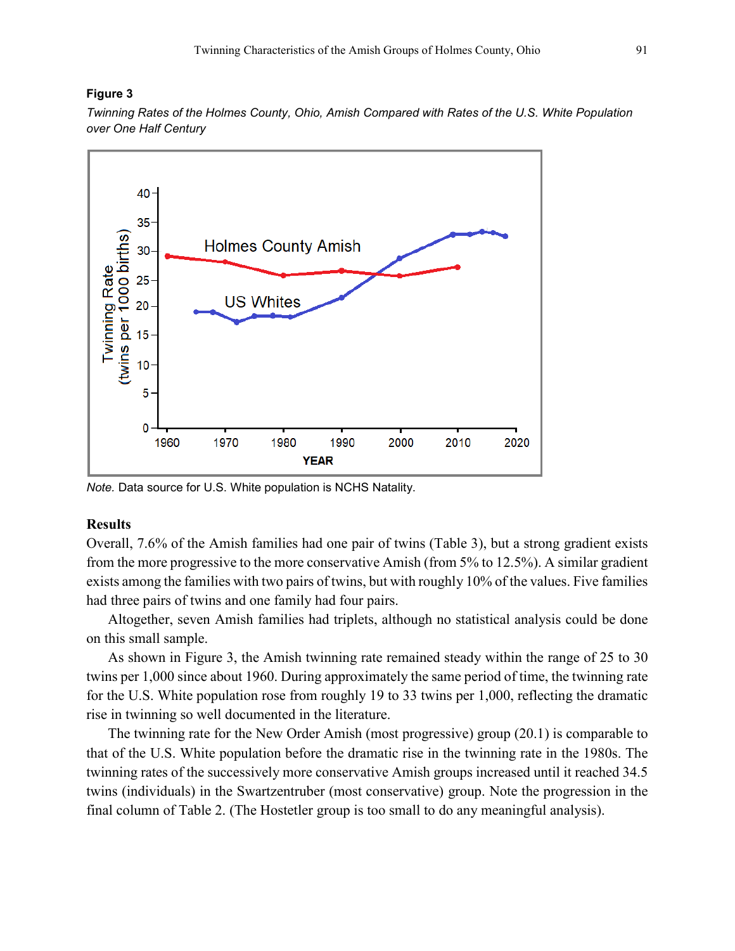# **Figure 3**

*Twinning Rates of the Holmes County, Ohio, Amish Compared with Rates of the U.S. White Population over One Half Century*



*Note.* Data source for U.S. White population is NCHS Natality.

# **Results**

Overall, 7.6% of the Amish families had one pair of twins (Table 3), but a strong gradient exists from the more progressive to the more conservative Amish (from 5% to 12.5%). A similar gradient exists among the families with two pairs of twins, but with roughly 10% of the values. Five families had three pairs of twins and one family had four pairs.

Altogether, seven Amish families had triplets, although no statistical analysis could be done on this small sample.

As shown in Figure 3, the Amish twinning rate remained steady within the range of 25 to 30 twins per 1,000 since about 1960. During approximately the same period of time, the twinning rate for the U.S. White population rose from roughly 19 to 33 twins per 1,000, reflecting the dramatic rise in twinning so well documented in the literature.

 The twinning rate for the New Order Amish (most progressive) group (20.1) is comparable to that of the U.S. White population before the dramatic rise in the twinning rate in the 1980s. The twinning rates of the successively more conservative Amish groups increased until it reached 34.5 twins (individuals) in the Swartzentruber (most conservative) group. Note the progression in the final column of Table 2. (The Hostetler group is too small to do any meaningful analysis).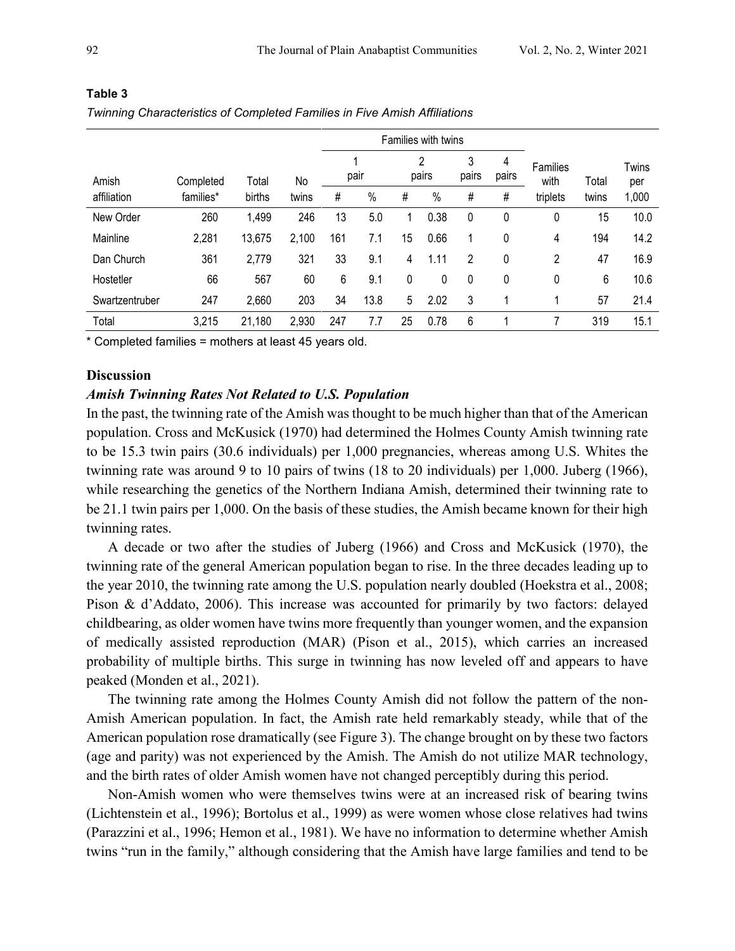|                |           |        |       | Families with twins |      |    |            |                |            |                  |       |                     |
|----------------|-----------|--------|-------|---------------------|------|----|------------|----------------|------------|------------------|-------|---------------------|
| Amish          | Completed | Total  | No    |                     | pair |    | 2<br>pairs | 3<br>pairs     | 4<br>pairs | Families<br>with | Total | <b>Twins</b><br>per |
| affiliation    | families* | births | twins | #                   | $\%$ | #  | $\%$       | $\#$           | #          | triplets         | twins | 1,000               |
| New Order      | 260       | 1,499  | 246   | 13                  | 5.0  | 1  | 0.38       | 0              | 0          | 0                | 15    | 10.0                |
| Mainline       | 2,281     | 13,675 | 2,100 | 161                 | 7.1  | 15 | 0.66       | 1              | 0          | 4                | 194   | 14.2                |
| Dan Church     | 361       | 2,779  | 321   | 33                  | 9.1  | 4  | 1.11       | $\overline{2}$ | 0          | 2                | 47    | 16.9                |
| Hostetler      | 66        | 567    | 60    | 6                   | 9.1  | 0  | 0          | 0              | 0          | 0                | 6     | 10.6                |
| Swartzentruber | 247       | 2,660  | 203   | 34                  | 13.8 | 5  | 2.02       | 3              |            | 1                | 57    | 21.4                |
| Total          | 3,215     | 21,180 | 2,930 | 247                 | 7.7  | 25 | 0.78       | 6              |            |                  | 319   | 15.1                |

# **Table 3**

*Twinning Characteristics of Completed Families in Five Amish Affiliations*

\* Completed families = mothers at least 45 years old.

# **Discussion**

# *Amish Twinning Rates Not Related to U.S. Population*

In the past, the twinning rate of the Amish was thought to be much higher than that of the American population. Cross and McKusick (1970) had determined the Holmes County Amish twinning rate to be 15.3 twin pairs (30.6 individuals) per 1,000 pregnancies, whereas among U.S. Whites the twinning rate was around 9 to 10 pairs of twins (18 to 20 individuals) per 1,000. Juberg (1966), while researching the genetics of the Northern Indiana Amish, determined their twinning rate to be 21.1 twin pairs per 1,000. On the basis of these studies, the Amish became known for their high twinning rates.

A decade or two after the studies of Juberg (1966) and Cross and McKusick (1970), the twinning rate of the general American population began to rise. In the three decades leading up to the year 2010, the twinning rate among the U.S. population nearly doubled (Hoekstra et al., 2008; Pison & d'Addato, 2006). This increase was accounted for primarily by two factors: delayed childbearing, as older women have twins more frequently than younger women, and the expansion of medically assisted reproduction (MAR) (Pison et al., 2015), which carries an increased probability of multiple births. This surge in twinning has now leveled off and appears to have peaked (Monden et al., 2021).

The twinning rate among the Holmes County Amish did not follow the pattern of the non-Amish American population. In fact, the Amish rate held remarkably steady, while that of the American population rose dramatically (see Figure 3). The change brought on by these two factors (age and parity) was not experienced by the Amish. The Amish do not utilize MAR technology, and the birth rates of older Amish women have not changed perceptibly during this period.

Non-Amish women who were themselves twins were at an increased risk of bearing twins (Lichtenstein et al., 1996); Bortolus et al., 1999) as were women whose close relatives had twins (Parazzini et al., 1996; Hemon et al., 1981). We have no information to determine whether Amish twins "run in the family," although considering that the Amish have large families and tend to be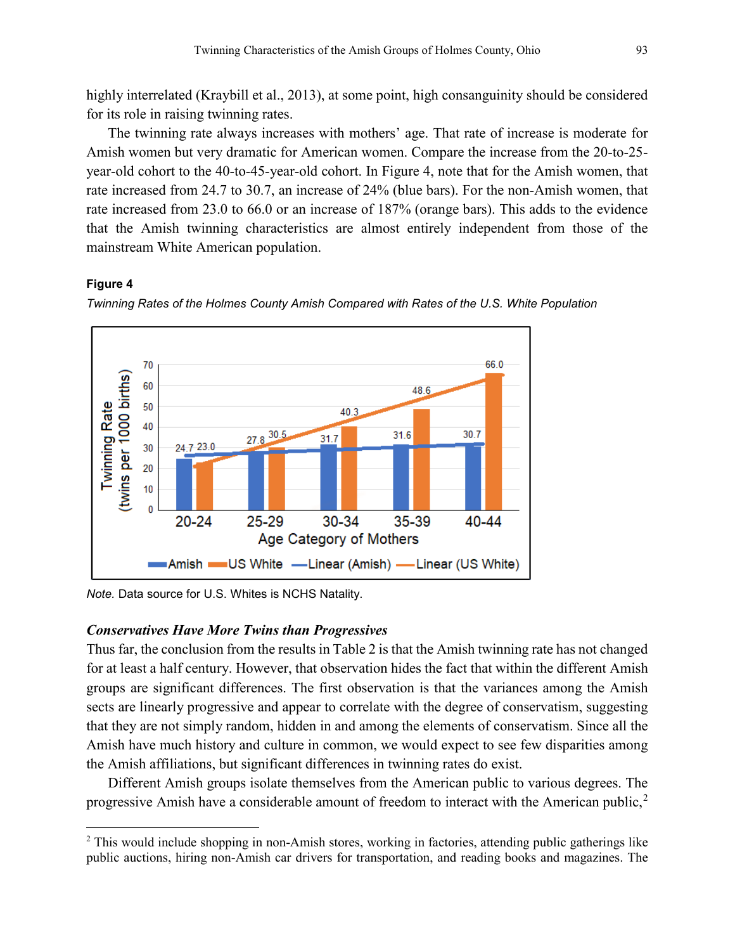highly interrelated (Kraybill et al., 2013), at some point, high consanguinity should be considered for its role in raising twinning rates.

The twinning rate always increases with mothers' age. That rate of increase is moderate for Amish women but very dramatic for American women. Compare the increase from the 20-to-25 year-old cohort to the 40-to-45-year-old cohort. In Figure 4, note that for the Amish women, that rate increased from 24.7 to 30.7, an increase of 24% (blue bars). For the non-Amish women, that rate increased from 23.0 to 66.0 or an increase of 187% (orange bars). This adds to the evidence that the Amish twinning characteristics are almost entirely independent from those of the mainstream White American population.

#### **Figure 4**

l



*Twinning Rates of the Holmes County Amish Compared with Rates of the U.S. White Population*

*Note.* Data source for U.S. Whites is NCHS Natality.

#### *Conservatives Have More Twins than Progressives*

Thus far, the conclusion from the results in Table 2 is that the Amish twinning rate has not changed for at least a half century. However, that observation hides the fact that within the different Amish groups are significant differences. The first observation is that the variances among the Amish sects are linearly progressive and appear to correlate with the degree of conservatism, suggesting that they are not simply random, hidden in and among the elements of conservatism. Since all the Amish have much history and culture in common, we would expect to see few disparities among the Amish affiliations, but significant differences in twinning rates do exist.

Different Amish groups isolate themselves from the American public to various degrees. The progressive Amish have a considerable amount of freedom to interact with the American public, $2$ 

<span id="page-8-0"></span><sup>&</sup>lt;sup>2</sup> This would include shopping in non-Amish stores, working in factories, attending public gatherings like public auctions, hiring non-Amish car drivers for transportation, and reading books and magazines. The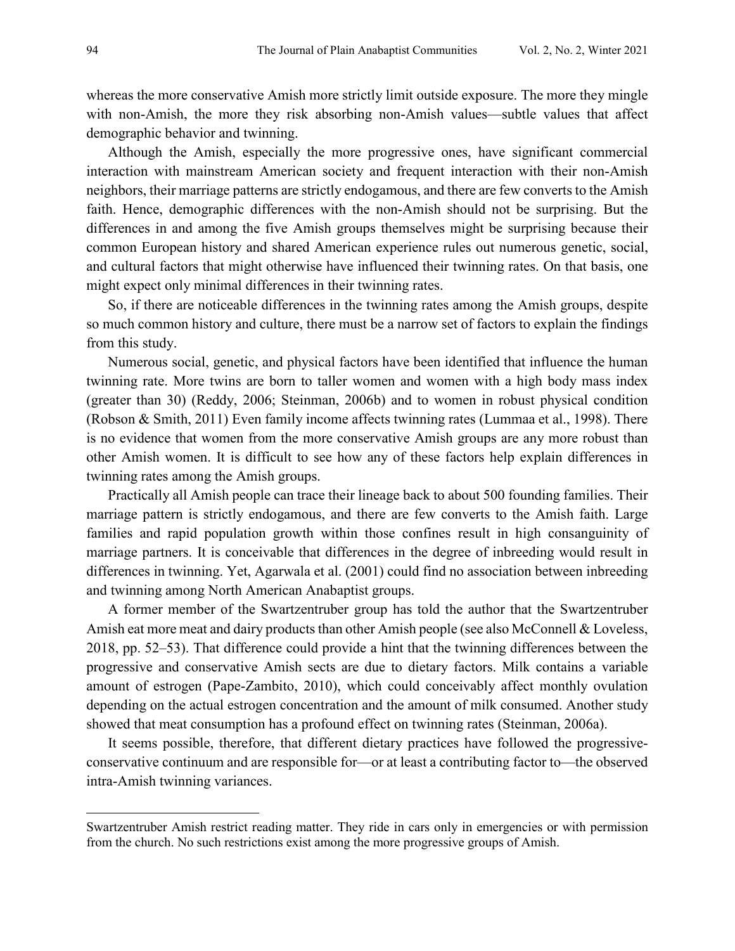whereas the more conservative Amish more strictly limit outside exposure. The more they mingle with non-Amish, the more they risk absorbing non-Amish values—subtle values that affect demographic behavior and twinning.

Although the Amish, especially the more progressive ones, have significant commercial interaction with mainstream American society and frequent interaction with their non-Amish neighbors, their marriage patterns are strictly endogamous, and there are few converts to the Amish faith. Hence, demographic differences with the non-Amish should not be surprising. But the differences in and among the five Amish groups themselves might be surprising because their common European history and shared American experience rules out numerous genetic, social, and cultural factors that might otherwise have influenced their twinning rates. On that basis, one might expect only minimal differences in their twinning rates.

So, if there are noticeable differences in the twinning rates among the Amish groups, despite so much common history and culture, there must be a narrow set of factors to explain the findings from this study.

Numerous social, genetic, and physical factors have been identified that influence the human twinning rate. More twins are born to taller women and women with a high body mass index (greater than 30) (Reddy, 2006; Steinman, 2006b) and to women in robust physical condition (Robson & Smith, 2011) Even family income affects twinning rates (Lummaa et al., 1998). There is no evidence that women from the more conservative Amish groups are any more robust than other Amish women. It is difficult to see how any of these factors help explain differences in twinning rates among the Amish groups.

Practically all Amish people can trace their lineage back to about 500 founding families. Their marriage pattern is strictly endogamous, and there are few converts to the Amish faith. Large families and rapid population growth within those confines result in high consanguinity of marriage partners. It is conceivable that differences in the degree of inbreeding would result in differences in twinning. Yet, Agarwala et al. (2001) could find no association between inbreeding and twinning among North American Anabaptist groups.

A former member of the Swartzentruber group has told the author that the Swartzentruber Amish eat more meat and dairy products than other Amish people (see also McConnell & Loveless, 2018, pp. 52–53). That difference could provide a hint that the twinning differences between the progressive and conservative Amish sects are due to dietary factors. Milk contains a variable amount of estrogen (Pape-Zambito, 2010), which could conceivably affect monthly ovulation depending on the actual estrogen concentration and the amount of milk consumed. Another study showed that meat consumption has a profound effect on twinning rates (Steinman, 2006a).

It seems possible, therefore, that different dietary practices have followed the progressiveconservative continuum and are responsible for—or at least a contributing factor to—the observed intra-Amish twinning variances.

 $\overline{\phantom{a}}$ 

Swartzentruber Amish restrict reading matter. They ride in cars only in emergencies or with permission from the church. No such restrictions exist among the more progressive groups of Amish.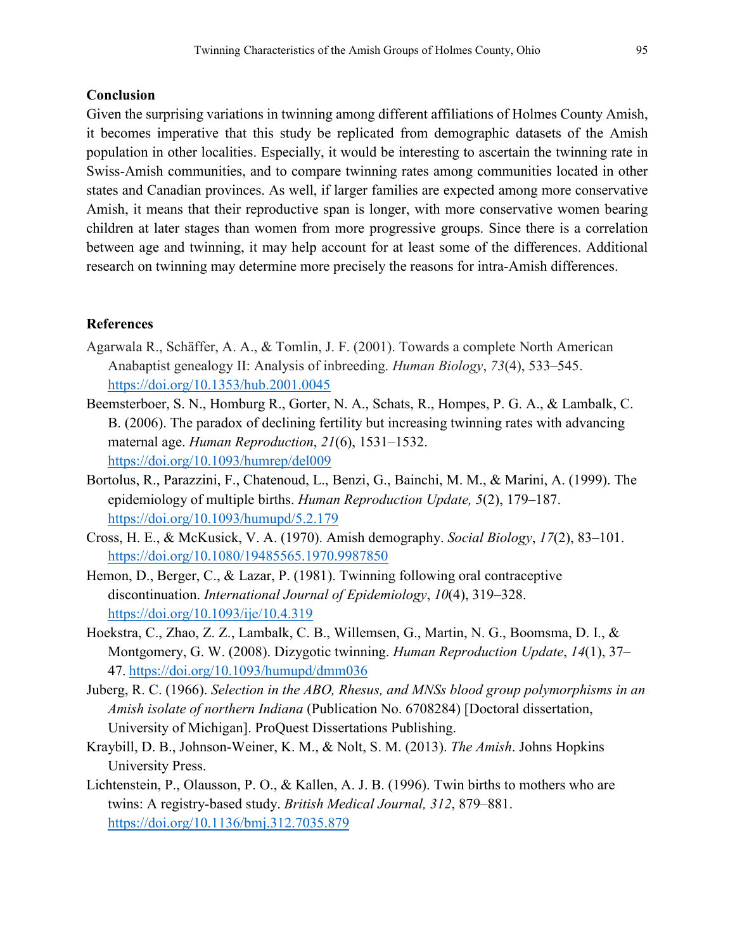# **Conclusion**

Given the surprising variations in twinning among different affiliations of Holmes County Amish, it becomes imperative that this study be replicated from demographic datasets of the Amish population in other localities. Especially, it would be interesting to ascertain the twinning rate in Swiss-Amish communities, and to compare twinning rates among communities located in other states and Canadian provinces. As well, if larger families are expected among more conservative Amish, it means that their reproductive span is longer, with more conservative women bearing children at later stages than women from more progressive groups. Since there is a correlation between age and twinning, it may help account for at least some of the differences. Additional research on twinning may determine more precisely the reasons for intra-Amish differences.

# **References**

- Agarwala R., Schäffer, A. A., & Tomlin, J. F. (2001). Towards a complete North American Anabaptist genealogy II: Analysis of inbreeding. *Human Biology*, *73*(4), 533–545. <https://doi.org/10.1353/hub.2001.0045>
- Beemsterboer, S. N., Homburg R., Gorter, N. A., Schats, R., Hompes, P. G. A., & Lambalk, C. B. (2006). The paradox of declining fertility but increasing twinning rates with advancing maternal age. *Human Reproduction*, *21*(6), 1531–153[2.](https://doi.org/10.1093/humrep/del009) <https://doi.org/10.1093/humrep/del009>
- Bortolus, R., Parazzini, F., Chatenoud, L., Benzi, G., Bainchi, M. M., & Marini, A. (1999). The epidemiology of multiple births. *Human Reproduction Update, 5*(2), 179–187. <https://doi.org/10.1093/humupd/5.2.179>
- Cross, H. E., & McKusick, V. A. (1970). Amish demography. *Social Biology*, *17*(2), 83–101. <https://doi.org/10.1080/19485565.1970.9987850>
- Hemon, D., Berger, C., & Lazar, P. (1981). Twinning following oral contraceptive discontinuation. *International Journal of Epidemiology*, *10*(4), 319–328. <https://doi.org/10.1093/ije/10.4.319>
- Hoekstra, C., Zhao, Z. Z., Lambalk, C. B., Willemsen, G., Martin, N. G., Boomsma, D. I., & Montgomery, G. W. (2008). Dizygotic twinning. *Human Reproduction Update*, *14*(1), 37– 47. <https://doi.org/10.1093/humupd/dmm036>
- Juberg, R. C. (1966). *Selection in the ABO, Rhesus, and MNSs blood group polymorphisms in an Amish isolate of northern Indiana* (Publication No. 6708284) [Doctoral dissertation, University of Michigan]. ProQuest Dissertations Publishing.
- Kraybill, D. B., Johnson-Weiner, K. M., & Nolt, S. M. (2013). *The Amish*. Johns Hopkins University Press.
- Lichtenstein, P., Olausson, P. O., & Kallen, A. J. B. (1996). Twin births to mothers who are twins: A registry-based study. *British Medical Journal, 312*, 879–881. <https://doi.org/10.1136/bmj.312.7035.879>